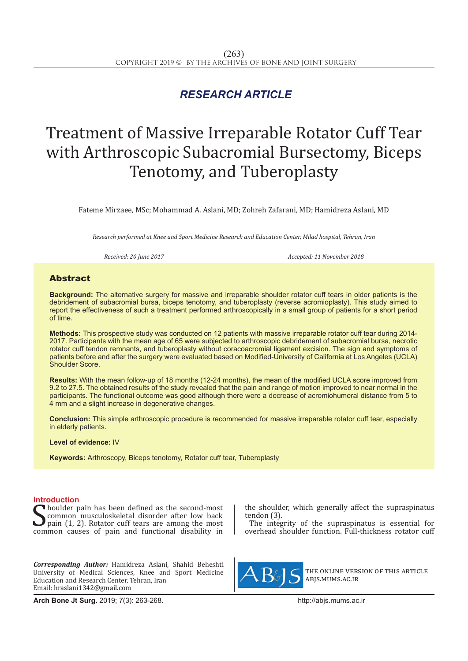# *RESEARCH ARTICLE*

# Treatment of Massive Irreparable Rotator Cuff Tear with Arthroscopic Subacromial Bursectomy, Biceps Tenotomy, and Tuberoplasty

Fateme Mirzaee, MSc; Mohammad A. Aslani, MD; Zohreh Zafarani, MD; Hamidreza Aslani, MD

*Research performed at Knee and Sport Medicine Research and Education Center, Milad hospital, Tehran, Iran*

*Received: 20 June 2017 Accepted: 11 November 2018*

## Abstract

**Background:** The alternative surgery for massive and irreparable shoulder rotator cuff tears in older patients is the debridement of subacromial bursa, biceps tenotomy, and tuberoplasty (reverse acromioplasty). This study aimed to report the effectiveness of such a treatment performed arthroscopically in a small group of patients for a short period of time.

**Methods:** This prospective study was conducted on 12 patients with massive irreparable rotator cuff tear during 2014- 2017. Participants with the mean age of 65 were subjected to arthroscopic debridement of subacromial bursa, necrotic rotator cuff tendon remnants, and tuberoplasty without coracoacromial ligament excision. The sign and symptoms of patients before and after the surgery were evaluated based on Modified-University of California at Los Angeles (UCLA) Shoulder Score.

**Results:** With the mean follow-up of 18 months (12-24 months), the mean of the modified UCLA score improved from 9.2 to 27.5. The obtained results of the study revealed that the pain and range of motion improved to near normal in the participants. The functional outcome was good although there were a decrease of acromiohumeral distance from 5 to 4 mm and a slight increase in degenerative changes.

**Conclusion:** This simple arthroscopic procedure is recommended for massive irreparable rotator cuff tear, especially in elderly patients.

**Level of evidence:** IV

**Keywords:** Arthroscopy, Biceps tenotomy, Rotator cuff tear, Tuberoplasty

### **Introduction**

Sommon musculoskeletal disorder after low back<br>pain (1, 2). Rotator cuff tears are among the most<br>common causes of pain and functional disability in houlder pain has been defined as the second-most common musculoskeletal disorder after low back pain (1, 2). Rotator cuff tears are among the most

*Corresponding Author:* Hamidreza Aslani, Shahid Beheshti University of Medical Sciences, Knee and Sport Medicine Education and Research Center, Tehran, Iran Email: hraslani1342@gmail.com

**Arch Bone Jt Surg.** 2019; 7(3): 263-268.http://abjs.mums.ac.ir

the shoulder, which generally affect the supraspinatus tendon (3).

The integrity of the supraspinatus is essential for overhead shoulder function. Full-thickness rotator cuff



the online version of this article abjs.mums.ac.ir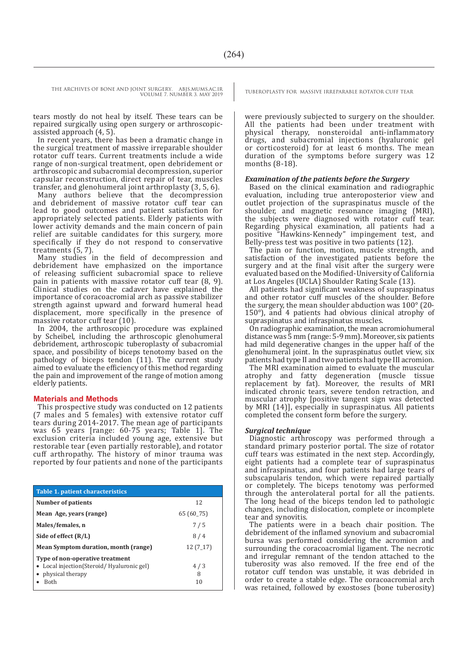tears mostly do not heal by itself. These tears can be repaired surgically using open surgery or arthroscopicassisted approach (4, 5).

In recent years, there has been a dramatic change in the surgical treatment of massive irreparable shoulder rotator cuff tears. Current treatments include a wide range of non-surgical treatment, open debridement or arthroscopic and subacromial decompression, superior capsular reconstruction, direct repair of tear, muscles transfer, and glenohumeral joint arthroplasty (3, 5, 6).

Many authors believe that the decompression and debridement of massive rotator cuff tear can lead to good outcomes and patient satisfaction for appropriately selected patients. Elderly patients with lower activity demands and the main concern of pain relief are suitable candidates for this surgery, more specifically if they do not respond to conservative treatments (5, 7).

Many studies in the field of decompression and debridement have emphasized on the importance of releasing sufficient subacromial space to relieve pain in patients with massive rotator cuff tear (8, 9). Clinical studies on the cadaver have explained the importance of coracoacromial arch as passive stabilizer strength against upward and forward humeral head displacement, more specifically in the presence of massive rotator cuff tear (10).

In 2004, the arthroscopic procedure was explained by Scheibel, including the arthroscopic glenohumeral debridement, arthroscopic tuberoplasty of subacromial space, and possibility of biceps tenotomy based on the pathology of biceps tendon (11). The current study aimed to evaluate the efficiency of this method regarding the pain and improvement of the range of motion among elderly patients.

#### **Materials and Methods**

This prospective study was conducted on 12 patients (7 males and 5 females) with extensive rotator cuff tears during 2014-2017. The mean age of participants was 65 years [range: 60-75 years; Table 1]. The exclusion criteria included young age, extensive but restorable tear (even partially restorable), and rotator cuff arthropathy. The history of minor trauma was reported by four patients and none of the participants

| <b>Table 1. patient characteristics</b>                                                                       |                |
|---------------------------------------------------------------------------------------------------------------|----------------|
| Number of patients                                                                                            | 12             |
| Mean Age, years (range)                                                                                       | 65 (60_75)     |
| Males/females, n                                                                                              | 7/5            |
| Side of effect $(R/L)$                                                                                        | 8/4            |
| Mean Symptom duration, month (range)                                                                          | $12(7-17)$     |
| Type of non-operative treatment<br>Local injection(Steroid/Hyaluronic gel)<br>physical therapy<br><b>Both</b> | 4/3<br>8<br>10 |

were previously subjected to surgery on the shoulder. All the patients had been under treatment with physical therapy, nonsteroidal anti-inflammatory drugs, and subacromial injections (hyaluronic gel or corticosteroid) for at least 6 months. The mean duration of the symptoms before surgery was 12 months (8-18).

#### *Examination of the patients before the Surgery*

Based on the clinical examination and radiographic evaluation, including true anteroposterior view and outlet projection of the supraspinatus muscle of the shoulder, and magnetic resonance imaging (MRI), the subjects were diagnosed with rotator cuff tear. Regarding physical examination, all patients had a positive "Hawkins-Kennedy" impingement test, and Belly-press test was positive in two patients (12).

The pain or function, motion, muscle strength, and satisfaction of the investigated patients before the surgery and at the final visit after the surgery were evaluated based on the Modified-University of California at Los Angeles (UCLA) Shoulder Rating Scale (13).

All patients had significant weakness of supraspinatus and other rotator cuff muscles of the shoulder. Before the surgery, the mean shoulder abduction was 100° (20- 150°), and 4 patients had obvious clinical atrophy of supraspinatus and infraspinatus muscles.

On radiographic examination, the mean acromiohumeral distance was 5 mm (range: 5-9 mm). Moreover, six patients had mild degenerative changes in the upper half of the glenohumeral joint. In the supraspinatus outlet view, six patients had type II and two patients had type III acromion.

The MRI examination aimed to evaluate the muscular atrophy and fatty degeneration (muscle tissue replacement by fat). Moreover, the results of MRI indicated chronic tears, severe tendon retraction, and muscular atrophy [positive tangent sign was detected by MRI (14)], especially in supraspinatus. All patients completed the consent form before the surgery.

#### *Surgical technique*

Diagnostic arthroscopy was performed through a standard primary posterior portal. The size of rotator cuff tears was estimated in the next step. Accordingly, eight patients had a complete tear of supraspinatus and infraspinatus, and four patients had large tears of subscapularis tendon, which were repaired partially or completely. The biceps tenotomy was performed through the anterolateral portal for all the patients. The long head of the biceps tendon led to pathologic changes, including dislocation, complete or incomplete tear and synovitis.

The patients were in a beach chair position. The debridement of the inflamed synovium and subacromial bursa was performed considering the acromion and surrounding the coracoacromial ligament. The necrotic and irregular remnant of the tendon attached to the tuberosity was also removed. If the free end of the rotator cuff tendon was unstable, it was debrided in order to create a stable edge. The coracoacromial arch was retained, followed by exostoses (bone tuberosity)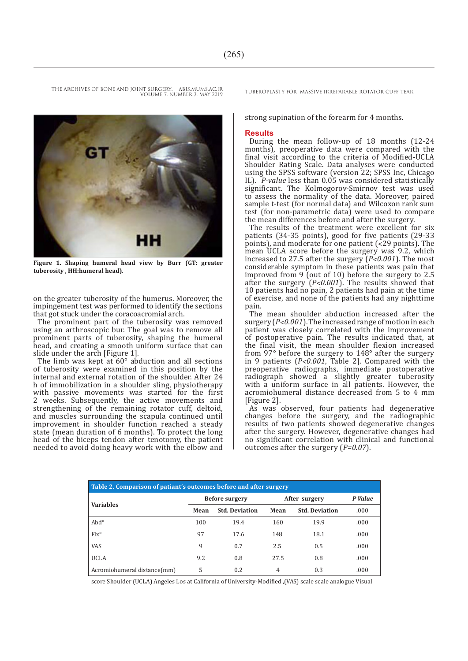

**Figure 1. Shaping humeral head view by Burr (GT: greater tuberosity , HH:humeral head).**

on the greater tuberosity of the humerus. Moreover, the impingement test was performed to identify the sections that got stuck under the coracoacromial arch.

The prominent part of the tuberosity was removed using an arthroscopic bur. The goal was to remove all prominent parts of tuberosity, shaping the humeral head, and creating a smooth uniform surface that can slide under the arch [Figure 1].

The limb was kept at  $60^\circ$  abduction and all sections of tuberosity were examined in this position by the internal and external rotation of the shoulder. After 24 h of immobilization in a shoulder sling, physiotherapy with passive movements was started for the first 2 weeks. Subsequently, the active movements and strengthening of the remaining rotator cuff, deltoid, and muscles surrounding the scapula continued until improvement in shoulder function reached a steady state (mean duration of 6 months). To protect the long head of the biceps tendon after tenotomy, the patient needed to avoid doing heavy work with the elbow and

strong supination of the forearm for 4 months.

#### **Results**

During the mean follow-up of 18 months (12-24 months), preoperative data were compared with the final visit according to the criteria of Modified-UCLA Shoulder Rating Scale. Data analyses were conducted using the SPSS software (version 22; SPSS Inc, Chicago IL). *P-value* less than 0.05 was considered statistically significant. The Kolmogorov-Smirnov test was used to assess the normality of the data. Moreover, paired sample t-test (for normal data) and Wilcoxon rank sum test (for non-parametric data) were used to compare the mean differences before and after the surgery.

The results of the treatment were excellent for six patients (34-35 points), good for five patients (29-33 points), and moderate for one patient  $(\dot{\leq} 29 \text{ points})$ . The mean UCLA score before the surgery was 9.2, which increased to 27.5 after the surgery (*P˂0.001*). The most considerable symptom in these patients was pain that improved from 9 (out of 10) before the surgery to 2.5 after the surgery (*P˂0.001*). The results showed that 10 patients had no pain, 2 patients had pain at the time of exercise, and none of the patients had any nighttime pain.

The mean shoulder abduction increased after the surgery (*P˂0.001*). The increased range of motion in each patient was closely correlated with the improvement of postoperative pain. The results indicated that, at the final visit, the mean shoulder flexion increased from 97° before the surgery to 148° after the surgery in 9 patients (*P˂0.001*, Table 2]. Compared with the preoperative radiographs, immediate postoperative radiograph showed a slightly greater tuberosity with a uniform surface in all patients. However, the acromiohumeral distance decreased from 5 to 4 mm [Figure 2].

As was observed, four patients had degenerative changes before the surgery, and the radiographic results of two patients showed degenerative changes after the surgery. However, degenerative changes had no significant correlation with clinical and functional outcomes after the surgery (*P=0.07*).

| Table 2. Comparison of patiant's outcomes before and after surgery |                       |                       |               |                       |         |  |
|--------------------------------------------------------------------|-----------------------|-----------------------|---------------|-----------------------|---------|--|
| <b>Variables</b>                                                   | <b>Before surgery</b> |                       | After surgery |                       | P Value |  |
|                                                                    | Mean                  | <b>Std. Deviation</b> | Mean          | <b>Std. Deviation</b> | .000    |  |
| $Abd^{\circ}$                                                      | 100                   | 19.4                  | 160           | 19.9                  | .000    |  |
| $Fix^{\circ}$                                                      | 97                    | 17.6                  | 148           | 18.1                  | .000    |  |
| VAS                                                                | 9                     | 0.7                   | 2.5           | 0.5                   | .000    |  |
| <b>UCLA</b>                                                        | 9.2                   | 0.8                   | 27.5          | 0.8                   | .000    |  |
| Acromiohumeral distance(mm)                                        | 5                     | 0.2                   | 4             | 0.3                   | .000    |  |

score Shoulder (UCLA) Angeles Los at California of University-Modified ,(VAS) scale scale analogue Visual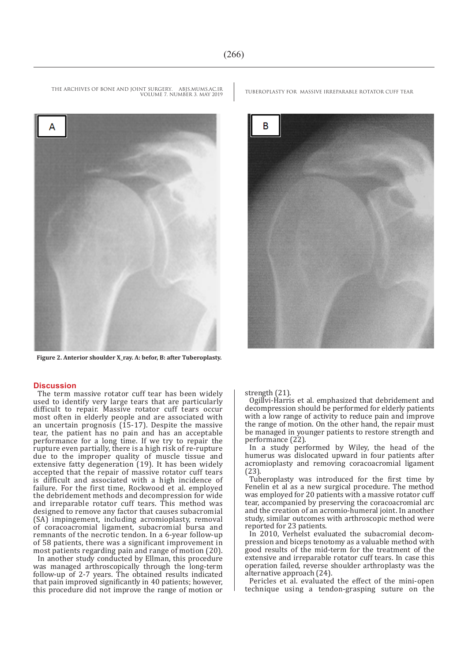VOLUME 7. NUMBER 3. MAY 2019



 **Figure 2. Anterior shoulder X\_ray. A: befor, B: after Tuberoplasty.**

#### **Discussion**

The term massive rotator cuff tear has been widely used to identify very large tears that are particularly difficult to repair. Massive rotator cuff tears occur most often in elderly people and are associated with an uncertain prognosis (15-17). Despite the massive tear, the patient has no pain and has an acceptable performance for a long time. If we try to repair the rupture even partially, there is a high risk of re-rupture due to the improper quality of muscle tissue and extensive fatty degeneration (19). It has been widely accepted that the repair of massive rotator cuff tears is difficult and associated with a high incidence of failure. For the first time, Rockwood et al. employed the debridement methods and decompression for wide and irreparable rotator cuff tears. This method was designed to remove any factor that causes subacromial (SA) impingement, including acromioplasty, removal of coracoacromial ligament, subacromial bursa and remnants of the necrotic tendon. In a 6-year follow-up of 58 patients, there was a significant improvement in most patients regarding pain and range of motion (20).

In another study conducted by Ellman, this procedure was managed arthroscopically through the long-term follow-up of 2-7 years. The obtained results indicated that pain improved significantly in 40 patients; however, this procedure did not improve the range of motion or

THE ARCHIVES OF BONE AND JOINT SURGERY. ABJS.MUMS.AC.IR TUBEROPLASTY FOR MASSIVE IRREPARABLE ROTATOR CUFF TEAR



strength (21).

Ogillvi-Harris et al. emphasized that debridement and decompression should be performed for elderly patients with a low range of activity to reduce pain and improve the range of motion. On the other hand, the repair must be managed in younger patients to restore strength and performance (22).

In a study performed by Wiley, the head of the humerus was dislocated upward in four patients after acromioplasty and removing coracoacromial ligament (23).

Tuberoplasty was introduced for the first time by Fenelin et al as a new surgical procedure. The method was employed for 20 patients with a massive rotator cuff tear, accompanied by preserving the coracoacromial arc and the creation of an acromio-humeral joint. In another study, similar outcomes with arthroscopic method were reported for 23 patients.

In 2010, Verhelst evaluated the subacromial decompression and biceps tenotomy as a valuable method with good results of the mid-term for the treatment of the extensive and irreparable rotator cuff tears. In case this operation failed, reverse shoulder arthroplasty was the alternative approach (24).

Pericles et al. evaluated the effect of the mini-open technique using a tendon-grasping suture on the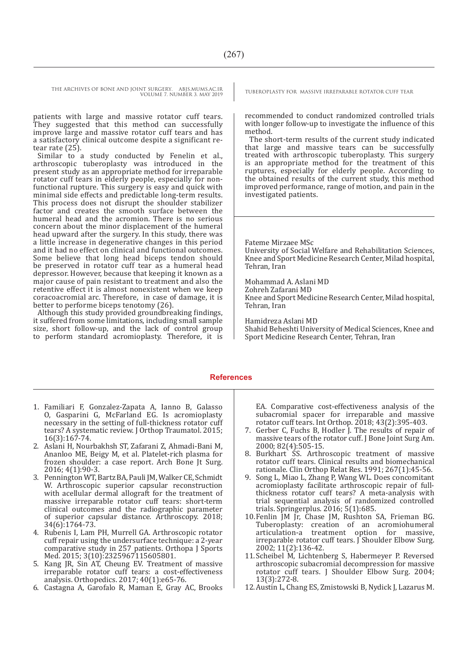> patients with large and massive rotator cuff tears. They suggested that this method can successfully improve large and massive rotator cuff tears and has a satisfactory clinical outcome despite a significant retear rate (25).

> Similar to a study conducted by Fenelin et al., arthroscopic tuberoplasty was introduced in the present study as an appropriate method for irreparable rotator cuff tears in elderly people, especially for nonfunctional rupture. This surgery is easy and quick with minimal side effects and predictable long-term results. This process does not disrupt the shoulder stabilizer factor and creates the smooth surface between the humeral head and the acromion. There is no serious concern about the minor displacement of the humeral head upward after the surgery. In this study, there was a little increase in degenerative changes in this period and it had no effect on clinical and functional outcomes. Some believe that long head biceps tendon should be preserved in rotator cuff tear as a humeral head depressor. However, because that keeping it known as a major cause of pain resistant to treatment and also the retentive effect it is almost nonexistent when we keep coracoacromial arc. Therefore, in case of damage, it is better to performe biceps tenotomy (26).

> Although this study provided groundbreaking findings, it suffered from some limitations, including small sample size, short follow-up, and the lack of control group to perform standard acromioplasty. Therefore, it is

recommended to conduct randomized controlled trials with longer follow-up to investigate the influence of this method.

The short-term results of the current study indicated that large and massive tears can be successfully treated with arthroscopic tuberoplasty. This surgery is an appropriate method for the treatment of this ruptures, especially for elderly people. According to the obtained results of the current study, this method improved performance, range of motion, and pain in the investigated patients.

Fateme Mirzaee MSc

University of Social Welfare and Rehabilitation Sciences, Knee and Sport Medicine Research Center, Milad hospital, Tehran, Iran

Mohammad A. Aslani MD Zohreh Zafarani MD Knee and Sport Medicine Research Center, Milad hospital, Tehran, Iran

Hamidreza Aslani MD

Shahid Beheshti University of Medical Sciences, Knee and Sport Medicine Research Center, Tehran, Iran

#### **References**

- 1. Familiari F, Gonzalez-Zapata A, Ianno B, Galasso O, Gasparini G, McFarland EG. Is acromioplasty necessary in the setting of full-thickness rotator cuff tears? A systematic review. J Orthop Traumatol. 2015; 16(3):167-74.
- 2. Aslani H, Nourbakhsh ST, Zafarani Z, Ahmadi-Bani M, Ananloo ME, Beigy M, et al. Platelet-rich plasma for frozen shoulder: a case report. Arch Bone Jt Surg. 2016; 4(1):90-3.
- 3. Pennington WT, Bartz BA, Pauli JM, Walker CE, Schmidt W. Arthroscopic superior capsular reconstruction with acellular dermal allograft for the treatment of massive irreparable rotator cuff tears: short-term clinical outcomes and the radiographic parameter of superior capsular distance. Arthroscopy. 2018; 34(6):1764-73.
- 4. Rubenis I, Lam PH, Murrell GA. Arthroscopic rotator cuff repair using the undersurface technique: a 2-year comparative study in 257 patients. Orthopa J Sports Med. 2015; 3(10):2325967115605801.
- 5. Kang JR, Sin AT, Cheung EV. Treatment of massive irreparable rotator cuff tears: a cost-effectiveness analysis. Orthopedics. 2017; 40(1):e65-76.
- 6. Castagna A, Garofalo R, Maman E, Gray AC, Brooks

EA. Comparative cost-effectiveness analysis of the subacromial spacer for irreparable and massive rotator cuff tears. Int Orthop. 2018; 43(2):395-403.

- 7. Gerber C, Fuchs B, Hodler J. The results of repair of massive tears of the rotator cuff. J Bone Joint Surg Am. 2000; 82(4):505-15.
- 8. Burkhart SS. Arthroscopic treatment of massive rotator cuff tears. Clinical results and biomechanical rationale. Clin Orthop Relat Res. 1991; 267(1):45-56.
- 9. Song L, Miao L, Zhang P, Wang WL. Does concomitant acromioplasty facilitate arthroscopic repair of fullthickness rotator cuff tears? A meta-analysis with trial sequential analysis of randomized controlled trials. Springerplus. 2016; 5(1):685.
- 10.Fenlin JM Jr, Chase JM, Rushton SA, Frieman BG. Tuberoplasty: creation of an acromiohumeral<br>articulation-a treatment option for massive, treatment option for massive, irreparable rotator cuff tears.  $\int$  Shoulder Elbow Surg. 2002; 11(2):136-42.
- 11.Scheibel M, Lichtenberg S, Habermeyer P. Reversed arthroscopic subacromial decompression for massive rotator cuff tears. J Shoulder Elbow Surg. 2004; 13(3):272-8.
- 12.Austin L, Chang ES, Zmistowski B, Nydick J, Lazarus M.